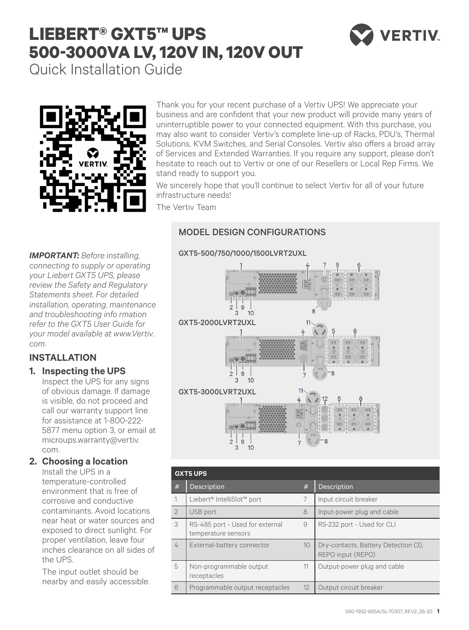# **LIEBERT® GXT5™ UPS 500-3000VA LV, 120V IN, 120V OUT**



Quick Installation Guide



Thank you for your recent purchase of a Vertiv UPS! We appreciate your business and are confident that your new product will provide many years of uninterruptible power to your connected equipment. With this purchase, you may also want to consider Vertiv's complete line-up of Racks, PDU's, Thermal Solutions, KVM Switches, and Serial Consoles. Vertiv also offers a broad array of Services and Extended Warranties. If you require any support, please don't hesitate to reach out to Vertiv or one of our Resellers or Local Rep Firms. We stand ready to support you.

We sincerely hope that you'll continue to select Vertiv for all of your future infrastructure needs!

The Vertiv Team

## MODEL DESIGN CONFIGURATIONS

*IMPORTANT: Before installing, connecting to supply or operating your Liebert GXT5 UPS, please review the Safety and Regulatory Statements sheet. For detailed installation, operating, maintenance and troubleshooting info rmation refer to the GXT5 User Guide for your model available at www.Vertiv. com.*

## **INSTALLATION**

## **1. Inspecting the UPS**

Inspect the UPS for any signs of obvious damage. If damage is visible, do not proceed and call our warranty support line for assistance at 1-800-222- 5877 menu option 3, or email at microups.warranty@vertiv. com.

## **2. Choosing a location**

Install the UPS in a temperature-controlled environment that is free of corrosive and conductive contaminants. Avoid locations near heat or water sources and exposed to direct sunlight. For proper ventilation, leave four inches clearance on all sides of the UPS.

The input outlet should be nearby and easily accessible.



| <b>GXT5 UPS</b> |                                                        |    |                                                           |
|-----------------|--------------------------------------------------------|----|-----------------------------------------------------------|
| #               | Description                                            | #  | Description                                               |
| 1               | Liebert® IntelliSlot™ port                             | 7  | Input circuit breaker                                     |
| $\overline{2}$  | USB port                                               | 8  | Input-power plug and cable                                |
| 3               | RS-485 port - Used for external<br>temperature sensors | 9  | RS-232 port - Used for CLI                                |
| 4               | External-battery connector                             | 10 | Dry-contacts, Battery Detection (3),<br>REPO input (REPO) |
| 5               | Non-programmable output<br>receptacles                 | 11 | Output-power plug and cable                               |
| 6               | Programmable output receptacles                        | 12 | Output circuit breaker                                    |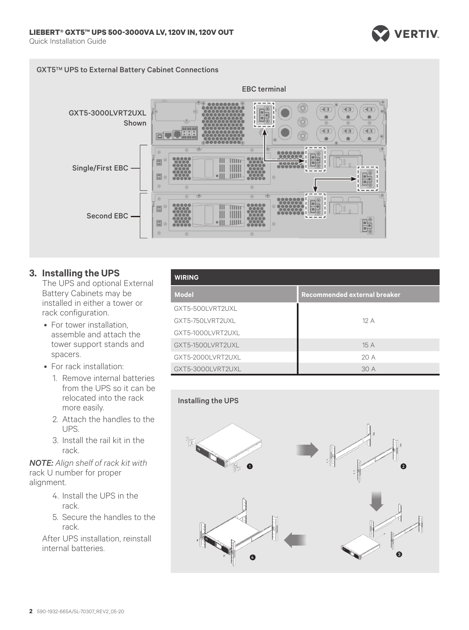



#### **3. Installing the UPS**

The UPS and optional External Battery Cabinets may be installed in either a tower or rack configuration.

- For tower installation, assemble and attach the tower support stands and spacers.
- For rack installation:
	- 1. Remove internal batteries from the UPS so it can be relocated into the rack more easily.
	- 2. Attach the handles to the UPS.
	- 3. Install the rail kit in the rack.

*NOTE: Align shelf of rack kit with*  rack U number for proper alignment.

- 4. Install the UPS in the rack.
- 5. Secure the handles to the rack.

After UPS installation, reinstall internal batteries.

| <b>WIRING</b>     |                              |  |
|-------------------|------------------------------|--|
| <b>Model</b>      | Recommended external breaker |  |
| GXT5-500LVRT2UXL  |                              |  |
| GXT5-750LVRT2UXL  | 12A                          |  |
| GXT5-1000LVRT2UXL |                              |  |
| GXT5-1500LVRT2UXL | 15 A                         |  |
| GXT5-2000LVRT2UXL | 20A                          |  |
| GXT5-3000LVRT2UXL | 30 A                         |  |

**VERTIV** 

#### Installing the UPS

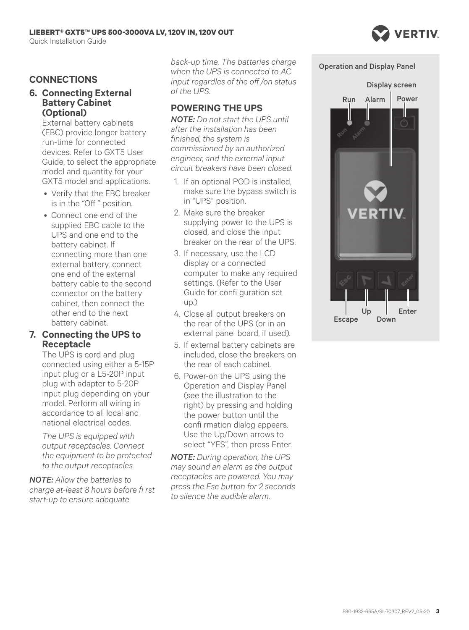## **CONNECTIONS**

#### **6. Connecting External Battery Cabinet (Optional)**

External battery cabinets (EBC) provide longer battery run-time for connected devices. Refer to GXT5 User Guide, to select the appropriate model and quantity for your GXT5 model and applications.

- Verify that the EBC breaker is in the "Off " position.
- Connect one end of the supplied EBC cable to the UPS and one end to the battery cabinet. If connecting more than one external battery, connect one end of the external battery cable to the second connector on the battery cabinet, then connect the other end to the next battery cabinet.

#### **7. Connecting the UPS to Receptacle**

The UPS is cord and plug connected using either a 5-15P input plug or a L5-20P input plug with adapter to 5-20P input plug depending on your model. Perform all wiring in accordance to all local and national electrical codes.

*The UPS is equipped with output receptacles. Connect the equipment to be protected to the output receptacles* 

*NOTE: Allow the batteries to charge at-least 8 hours before fi rst start-up to ensure adequate* 

*back-up time. The batteries charge when the UPS is connected to AC input regardles of the off /on status of the UPS.*

## **POWERING THE UPS**

*NOTE: Do not start the UPS until after the installation has been finished, the system is commissioned by an authorized engineer, and the external input circuit breakers have been closed.*

- 1. If an optional POD is installed, make sure the bypass switch is in "UPS" position.
- 2. Make sure the breaker supplying power to the UPS is closed, and close the input breaker on the rear of the UPS.
- 3. If necessary, use the LCD display or a connected computer to make any required settings. (Refer to the User Guide for confi guration set up.)
- 4. Close all output breakers on the rear of the UPS (or in an external panel board, if used).
- 5. If external battery cabinets are included, close the breakers on the rear of each cabinet.
- 6. Power-on the UPS using the Operation and Display Panel (see the illustration to the right) by pressing and holding the power button until the confi rmation dialog appears. Use the Up/Down arrows to select "YES", then press Enter.

*NOTE: During operation, the UPS may sound an alarm as the output receptacles are powered. You may press the Esc button for 2 seconds to silence the audible alarm.*

Operation and Display Panel

**VERTIV** 

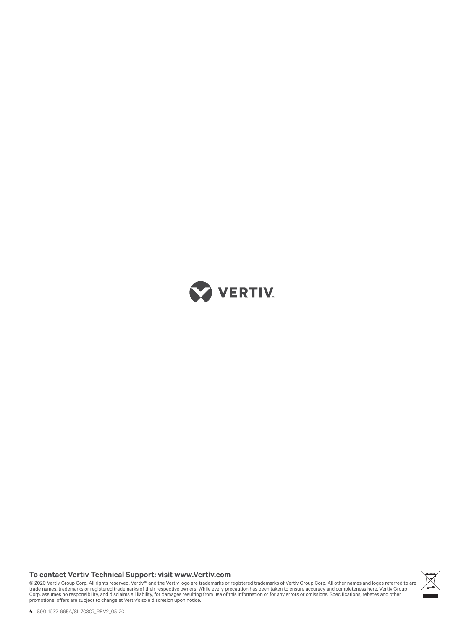

#### **To contact Vertiv Technical Support: visit www.Vertiv.com**

© 2020 Vertiv Group Corp. All rights reserved. Vertiv™ and the Vertiv logo are trademarks or registered trademarks of Vertiv Group Corp. All other names and logos referred to are<br>trade names, trademarks or registered trad

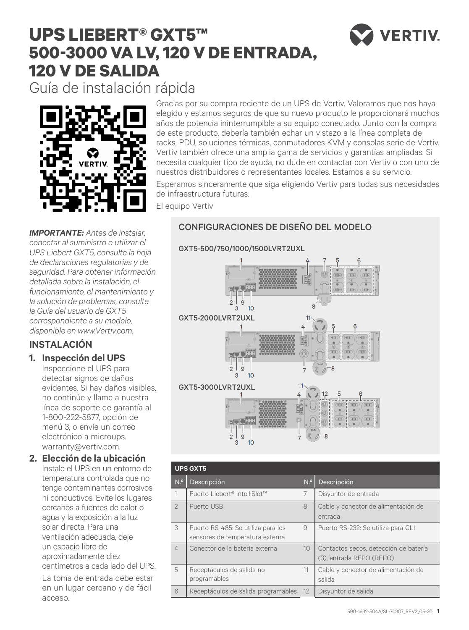## **UPS LIEBERT® GXT5™ 500-3000 VA LV, 120 V DE ENTRADA, 120 V DE SALIDA**



Guía de instalación rápida



Gracias por su compra reciente de un UPS de Vertiv. Valoramos que nos haya elegido y estamos seguros de que su nuevo producto le proporcionará muchos años de potencia ininterrumpible a su equipo conectado. Junto con la compra de este producto, debería también echar un vistazo a la línea completa de racks, PDU, soluciones térmicas, conmutadores KVM y consolas serie de Vertiv. Vertiv también ofrece una amplia gama de servicios y garantías ampliadas. Si necesita cualquier tipo de ayuda, no dude en contactar con Vertiv o con uno de nuestros distribuidores o representantes locales. Estamos a su servicio.

Esperamos sinceramente que siga eligiendo Vertiv para todas sus necesidades de infraestructura futuras.

El equipo Vertiv

## CONFIGURACIONES DE DISEÑO DEL MODELO

#### GXT5-500/750/1000/1500LVRT2UXL

*IMPORTANTE: Antes de instalar, conectar al suministro o utilizar el UPS Liebert GXT5, consulte la hoja de declaraciones regulatorias y de seguridad. Para obtener información detallada sobre la instalación, el funcionamiento, el mantenimiento y la solución de problemas, consulte la Guía del usuario de GXT5 correspondiente a su modelo, disponible en www.Vertiv.com.*

## **INSTALACIÓN**

## **1. Inspección del UPS**

Inspeccione el UPS para detectar signos de daños evidentes. Si hay daños visibles, no continúe y llame a nuestra línea de soporte de garantía al 1-800-222-5877, opción de menú 3, o envíe un correo electrónico a microups. warranty@vertiv.com.

#### **2. Elección de la ubicación**

Instale el UPS en un entorno de temperatura controlada que no tenga contaminantes corrosivos ni conductivos. Evite los lugares cercanos a fuentes de calor o agua y la exposición a la luz solar directa. Para una ventilación adecuada, deje un espacio libre de aproximadamente diez centímetros a cada lado del UPS.

La toma de entrada debe estar en un lugar cercano y de fácil acceso.



| <b>UPS GXT5</b> |                                                                       |                 |                                                                   |
|-----------------|-----------------------------------------------------------------------|-----------------|-------------------------------------------------------------------|
| N. <sup>o</sup> | Descripción                                                           | N. <sup>o</sup> | Descripción                                                       |
|                 | Puerto Liebert® IntelliSlot™                                          | 7               | Disyuntor de entrada                                              |
| $\mathcal{P}$   | Puerto USB                                                            | 8               | Cable y conector de alimentación de<br>entrada                    |
| 3               | Puerto RS-485: Se utiliza para los<br>sensores de temperatura externa | 9               | Puerto RS-232: Se utiliza para CLI                                |
| 4               | Conector de la batería externa                                        | 10 <sup>°</sup> | Contactos secos, detección de batería<br>(3), entrada REPO (REPO) |
| 5               | Receptáculos de salida no<br>programables                             | 11              | Cable y conector de alimentación de<br>salida                     |
| 6               | Receptáculos de salida programables                                   | 12              | Disyuntor de salida                                               |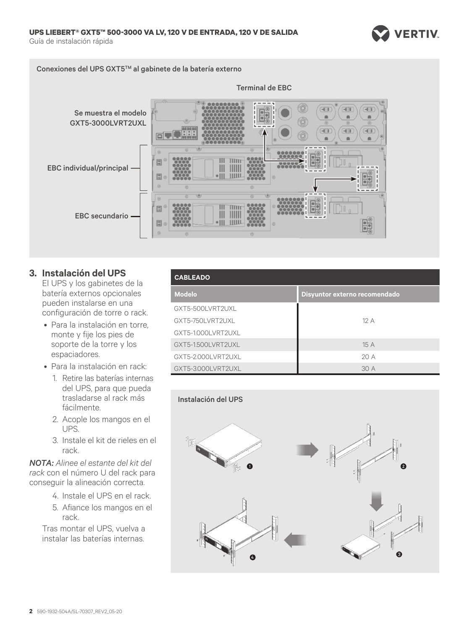

Conexiones del UPS GXT5TM al gabinete de la batería externo



**3. Instalación del UPS**

El UPS y los gabinetes de la batería externos opcionales pueden instalarse en una configuración de torre o rack.

- Para la instalación en torre, monte y fije los pies de soporte de la torre y los espaciadores.
- Para la instalación en rack:
	- 1. Retire las baterías internas del UPS, para que pueda trasladarse al rack más fácilmente.
	- 2. Acople los mangos en el UPS.
	- 3. Instale el kit de rieles en el rack.

*NOTA: Alinee el estante del kit del rack* con el número U del rack para conseguir la alineación correcta.

- 4. Instale el UPS en el rack.
- 5. Afiance los mangos en el rack.

Tras montar el UPS, vuelva a instalar las baterías internas.

| <b>CABLEADO</b>    |                               |  |
|--------------------|-------------------------------|--|
| <b>Modelo</b>      | Disyuntor externo recomendado |  |
| GXT5-500LVRT2UXL   |                               |  |
| GXT5-750LVRT2UXL   | 12A                           |  |
| GXT5-1.000LVRT2UXL |                               |  |
| GXT5-1.500LVRT2UXL | 15 A                          |  |
| GXT5-2.000LVRT2UXL | 20A                           |  |
| GXT5-3.000LVRT2UXL | 30 A                          |  |

#### Instalación del UPS

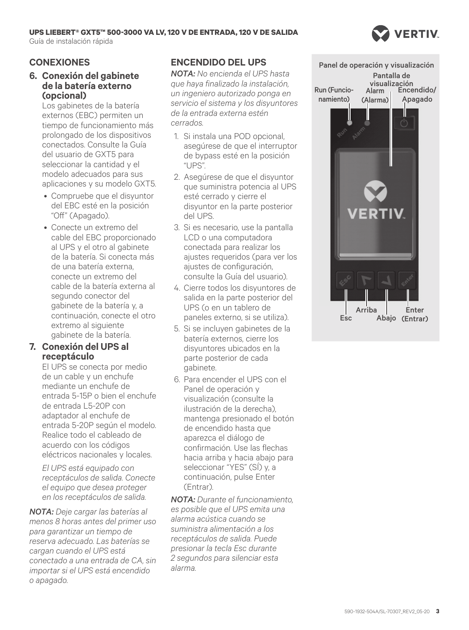## **UPS LIEBERT® GXT5™ 500-3000 VA LV, 120 V DE ENTRADA, 120 V DE SALIDA**

Guía de instalación rápida



## **CONEXIONES**

#### **6. Conexión del gabinete de la batería externo (opcional)**

Los gabinetes de la batería externos (EBC) permiten un tiempo de funcionamiento más prolongado de los dispositivos conectados. Consulte la Guía del usuario de GXT5 para seleccionar la cantidad y el modelo adecuados para sus aplicaciones y su modelo GXT5.

- Compruebe que el disyuntor del EBC esté en la posición "Off" (Apagado).
- Conecte un extremo del cable del EBC proporcionado al UPS y el otro al gabinete de la batería. Si conecta más de una batería externa, conecte un extremo del cable de la batería externa al segundo conector del gabinete de la batería y, a continuación, conecte el otro extremo al siguiente gabinete de la batería.

#### **7. Conexión del UPS al receptáculo**

El UPS se conecta por medio de un cable y un enchufe mediante un enchufe de entrada 5-15P o bien el enchufe de entrada L5-20P con adaptador al enchufe de entrada 5-20P según el modelo. Realice todo el cableado de acuerdo con los códigos eléctricos nacionales y locales.

*El UPS está equipado con receptáculos de salida. Conecte el equipo que desea proteger en los receptáculos de salida.* 

*NOTA: Deje cargar las baterías al menos 8 horas antes del primer uso para garantizar un tiempo de reserva adecuado. Las baterías se cargan cuando el UPS está conectado a una entrada de CA, sin importar si el UPS está encendido o apagado.*

## **ENCENDIDO DEL UPS**

*NOTA: No encienda el UPS hasta que haya finalizado la instalación, un ingeniero autorizado ponga en servicio el sistema y los disyuntores de la entrada externa estén cerrados.*

- 1. Si instala una POD opcional, asegúrese de que el interruptor de bypass esté en la posición "UPS".
- 2. Asegúrese de que el disyuntor que suministra potencia al UPS esté cerrado y cierre el disyuntor en la parte posterior del UPS.
- 3. Si es necesario, use la pantalla LCD o una computadora conectada para realizar los ajustes requeridos (para ver los ajustes de configuración, consulte la Guía del usuario).
- 4. Cierre todos los disyuntores de salida en la parte posterior del UPS (o en un tablero de paneles externo, si se utiliza).
- 5. Si se incluyen gabinetes de la batería externos, cierre los disyuntores ubicados en la parte posterior de cada gabinete.
- 6. Para encender el UPS con el Panel de operación y visualización (consulte la ilustración de la derecha), mantenga presionado el botón de encendido hasta que aparezca el diálogo de confirmación. Use las flechas hacia arriba y hacia abajo para seleccionar "YES" (SÍ) y, a continuación, pulse Enter (Entrar).

*NOTA: Durante el funcionamiento, es posible que el UPS emita una alarma acústica cuando se suministra alimentación a los receptáculos de salida. Puede presionar la tecla Esc durante 2 segundos para silenciar esta alarma.*

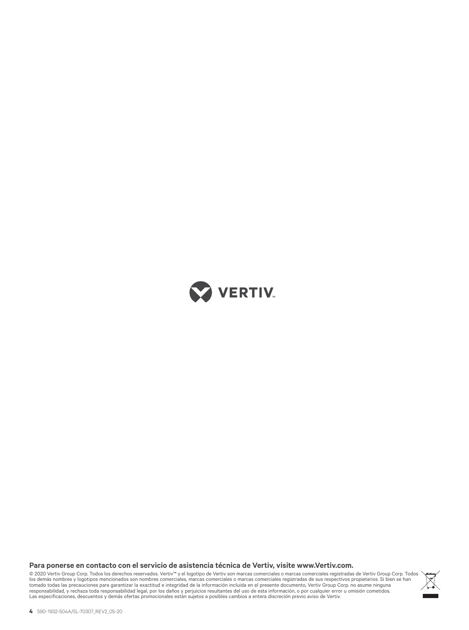

**Para ponerse en contacto con el servicio de asistencia técnica de Vertiv, visite www.Vertiv.com.**

© 2020 Vertiv Group Corp. Todos los derechos reservados. Vertiv™ y el logotipo de Vertiv son marcas comerciales o marcas comerciales registradas de Vertiv Group Corp. Todos<br>los demás nombres y logotipos mencionados son no tomado todas las precauciones para garantizar la exactitud e integridad de la información incluida en el presente documento, Vertiv Group Corp. no asume ninguna<br>responsabilidad, y rechaza toda responsabilidad legal, por lo

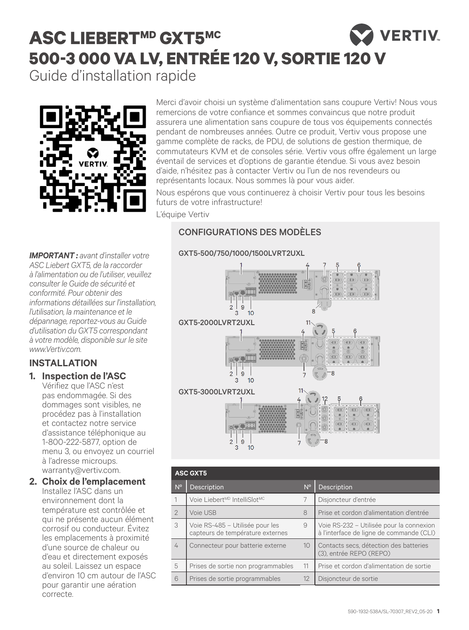## **VERTIV ASC LIEBERTMD GXT5MC 500-3 000 VA LV, ENTRÉE 120 V, SORTIE 120 V** Guide d'installation rapide



Merci d'avoir choisi un système d'alimentation sans coupure Vertiv! Nous vous remercions de votre confiance et sommes convaincus que notre produit assurera une alimentation sans coupure de tous vos équipements connectés pendant de nombreuses années. Outre ce produit, Vertiv vous propose une gamme complète de racks, de PDU, de solutions de gestion thermique, de commutateurs KVM et de consoles série. Vertiv vous offre également un large éventail de services et d'options de garantie étendue. Si vous avez besoin d'aide, n'hésitez pas à contacter Vertiv ou l'un de nos revendeurs ou représentants locaux. Nous sommes là pour vous aider.

Nous espérons que vous continuerez à choisir Vertiv pour tous les besoins futurs de votre infrastructure!

L'équipe Vertiv

## CONFIGURATIONS DES MODÈLES

#### GXT5-500/750/1000/1500LVRT2UXL

*IMPORTANT : avant d'installer votre ASC Liebert GXT5, de la raccorder à l'alimentation ou de l'utiliser, veuillez consulter le Guide de sécurité et conformité. Pour obtenir des informations détaillées sur l'installation, l'utilisation, la maintenance et le dépannage, reportez-vous au Guide d'utilisation du GXT5 correspondant à votre modèle, disponible sur le site www.Vertiv.com.*

## **INSTALLATION**

## **1. Inspection de l'ASC**

Vérifiez que l'ASC n'est pas endommagée. Si des dommages sont visibles, ne procédez pas à l'installation et contactez notre service d'assistance téléphonique au 1-800-222-5877, option de menu 3, ou envoyez un courriel à l'adresse microups. warranty@vertiv.com.

#### **2. Choix de l'emplacement** Installez l'ASC dans un environnement dont la

température est contrôlée et qui ne présente aucun élément corrosif ou conducteur. Évitez les emplacements à proximité d'une source de chaleur ou d'eau et directement exposés au soleil. Laissez un espace d'environ 10 cm autour de l'ASC pour garantir une aération correcte.



| <b>ASC GXT5</b> |                                                                     |                 |                                                                                      |
|-----------------|---------------------------------------------------------------------|-----------------|--------------------------------------------------------------------------------------|
| $N^{\circ}$     | Description                                                         | $N^{\circ}$     | <b>Description</b>                                                                   |
|                 | Voie Liebert <sup>MD</sup> IntelliSlot <sup>MC</sup>                | 7               | Disjoncteur d'entrée                                                                 |
| $\mathcal{P}$   | Voie USB                                                            | 8               | Prise et cordon d'alimentation d'entrée                                              |
| 3               | Voie RS-485 - Utilisée pour les<br>capteurs de température externes | 9               | Voie RS-232 - Utilisée pour la connexion<br>à l'interface de ligne de commande (CLI) |
| 4               | Connecteur pour batterie externe                                    | 10 <sup>°</sup> | Contacts secs, détection des batteries<br>(3). entrée REPO (REPO)                    |
| 5               | Prises de sortie non programmables                                  | 11              | Prise et cordon d'alimentation de sortie                                             |
| 6               | Prises de sortie programmables                                      | 12              | Disjoncteur de sortie                                                                |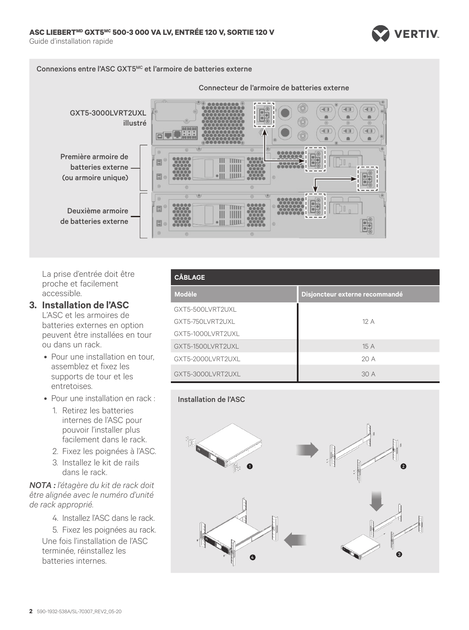

#### Connexions entre l'ASC GXT5MC et l'armoire de batteries externe



La prise d'entrée doit être proche et facilement accessible.

#### **3. Installation de l'ASC**

L'ASC et les armoires de batteries externes en option peuvent être installées en tour ou dans un rack.

- Pour une installation en tour, assemblez et fixez les supports de tour et les entretoises.
- Pour une installation en rack :
	- 1. Retirez les batteries internes de l'ASC pour pouvoir l'installer plus facilement dans le rack.
	- 2. Fixez les poignées à l'ASC.
	- 3. Installez le kit de rails dans le rack.

*NOTA : l'étagère du kit de rack doit être alignée avec le numéro d'unité de rack approprié.* 

4. Installez l'ASC dans le rack.

5. Fixez les poignées au rack. Une fois l'installation de l'ASC terminée, réinstallez les batteries internes.

| <b>CÂBLAGE</b>    |                                |  |
|-------------------|--------------------------------|--|
| <b>Modèle</b>     | Disjoncteur externe recommandé |  |
| GXT5-500LVRT2UXL  |                                |  |
| GXT5-750LVRT2UXL  | 12A                            |  |
| GXT5-1000LVRT2UXL |                                |  |
| GXT5-1500LVRT2UXL | 15A                            |  |
| GXT5-2000LVRT2UXL | 20A                            |  |
| GXT5-3000LVRT2UXL | 30 A                           |  |

#### Installation de l'ASC

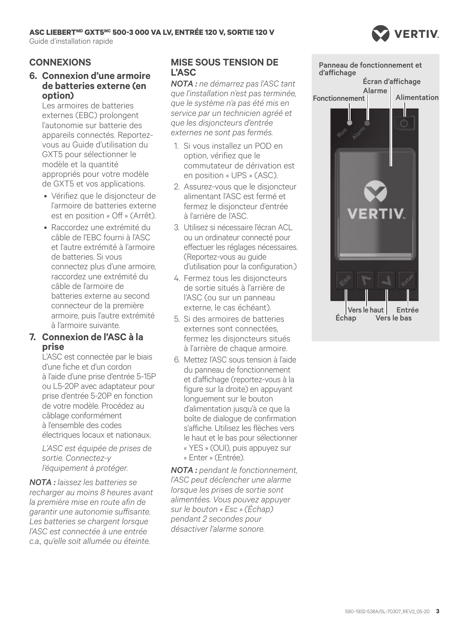## **ASC LIEBERTMD GXT5MC 500-3 000 VA LV, ENTRÉE 120 V, SORTIE 120 V**

Guide d'installation rapide



## **CONNEXIONS**

#### **6. Connexion d'une armoire de batteries externe (en option)**

Les armoires de batteries externes (EBC) prolongent l'autonomie sur batterie des appareils connectés. Reportezvous au Guide d'utilisation du GXT5 pour sélectionner le modèle et la quantité appropriés pour votre modèle de GXT5 et vos applications.

- Vérifiez que le disjoncteur de l'armoire de batteries externe est en position « Off » (Arrêt).
- Raccordez une extrémité du câble de l'EBC fourni à l'ASC et l'autre extrémité à l'armoire de batteries. Si vous connectez plus d'une armoire, raccordez une extrémité du câble de l'armoire de batteries externe au second connecteur de la première armoire, puis l'autre extrémité à l'armoire suivante.

#### **7. Connexion de l'ASC à la prise**

L'ASC est connectée par le biais d'une fiche et d'un cordon à l'aide d'une prise d'entrée 5-15P ou L5-20P avec adaptateur pour prise d'entrée 5-20P en fonction de votre modèle. Procédez au câblage conformément à l'ensemble des codes électriques locaux et nationaux.

*L'ASC est équipée de prises de sortie. Connectez-y l'équipement à protéger.* 

*NOTA : laissez les batteries se recharger au moins 8 heures avant la première mise en route afin de garantir une autonomie suffisante. Les batteries se chargent lorsque l'ASC est connectée à une entrée c.a., qu'elle soit allumée ou éteinte.*

## **MISE SOUS TENSION DE L'ASC**

*NOTA : ne démarrez pas l'ASC tant que l'installation n'est pas terminée, que le système n'a pas été mis en service par un technicien agréé et que les disjoncteurs d'entrée externes ne sont pas fermés.*

- 1. Si vous installez un POD en option, vérifiez que le commutateur de dérivation est en position « UPS » (ASC).
- 2. Assurez-vous que le disjoncteur alimentant l'ASC est fermé et fermez le disjoncteur d'entrée à l'arrière de l'ASC.
- 3. Utilisez si nécessaire l'écran ACL ou un ordinateur connecté pour effectuer les réglages nécessaires. (Reportez-vous au guide d'utilisation pour la configuration.)
- 4. Fermez tous les disjoncteurs de sortie situés à l'arrière de l'ASC (ou sur un panneau externe, le cas échéant).
- 5. Si des armoires de batteries externes sont connectées, fermez les disjoncteurs situés à l'arrière de chaque armoire.
- 6. Mettez l'ASC sous tension à l'aide du panneau de fonctionnement et d'affichage (reportez-vous à la figure sur la droite) en appuyant longuement sur le bouton d'alimentation jusqu'à ce que la boîte de dialogue de confirmation s'affiche. Utilisez les flèches vers le haut et le bas pour sélectionner « YES » (OUI), puis appuyez sur « Enter » (Entrée).

*NOTA : pendant le fonctionnement, l'ASC peut déclencher une alarme lorsque les prises de sortie sont alimentées. Vous pouvez appuyer sur le bouton « Esc » (Échap) pendant 2 secondes pour désactiver l'alarme sonore.*



Échap

Vers le bas